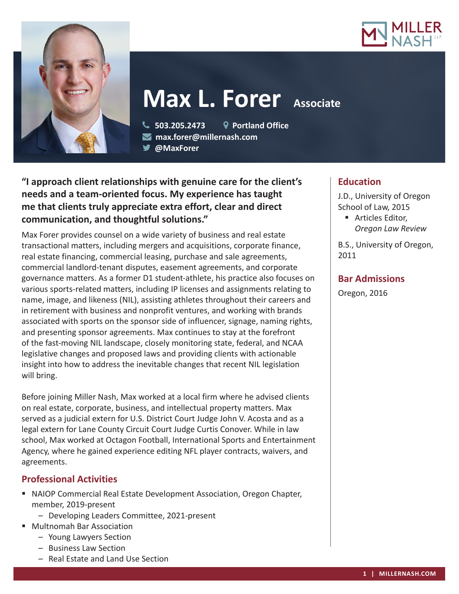



# **Max L. Forer** Associate

 **503.205.2473 Portland Office max.forer@millernash.com** 

**@MaxForer** 

# **"I approach client relationships with genuine care for the client's needs and a team-oriented focus. My experience has taught me that clients truly appreciate extra effort, clear and direct communication, and thoughtful solutions."**

Max Forer provides counsel on a wide variety of business and real estate transactional matters, including mergers and acquisitions, corporate finance, real estate financing, commercial leasing, purchase and sale agreements, commercial landlord-tenant disputes, easement agreements, and corporate governance matters. As a former D1 student-athlete, his practice also focuses on various sports-related matters, including IP licenses and assignments relating to name, image, and likeness (NIL), assisting athletes throughout their careers and in retirement with business and nonprofit ventures, and working with brands associated with sports on the sponsor side of influencer, signage, naming rights, and presenting sponsor agreements. Max continues to stay at the forefront of the fast-moving NIL landscape, closely monitoring state, federal, and NCAA legislative changes and proposed laws and providing clients with actionable insight into how to address the inevitable changes that recent NIL legislation will bring.

Before joining Miller Nash, Max worked at a local firm where he advised clients on real estate, corporate, business, and intellectual property matters. Max served as a judicial extern for U.S. District Court Judge John V. Acosta and as a legal extern for Lane County Circuit Court Judge Curtis Conover. While in law school, Max worked at Octagon Football, International Sports and Entertainment Agency, where he gained experience editing NFL player contracts, waivers, and agreements.

# **Professional Activities**

- NAIOP Commercial Real Estate Development Association, Oregon Chapter, member, 2019-present
	- Developing Leaders Committee, 2021-present
- Multnomah Bar Association
	- Young Lawyers Section
	- Business Law Section
	- Real Estate and Land Use Section

# **Education**

J.D., University of Oregon School of Law, 2015

■ Articles Editor, *Oregon Law Review*

B.S., University of Oregon, 2011

# **Bar Admissions**

Oregon, 2016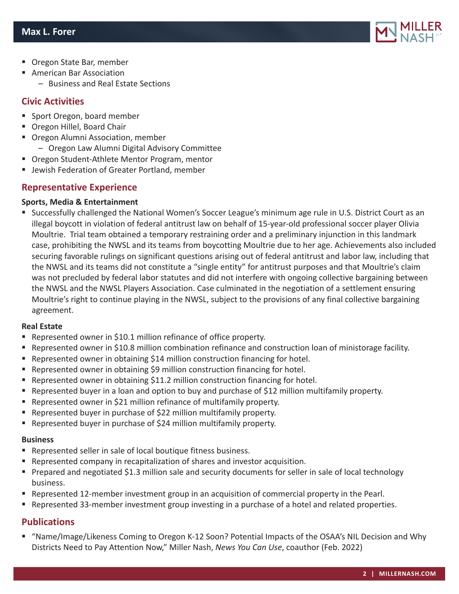

- Oregon State Bar, member
- American Bar Association
	- Business and Real Estate Sections

## **Civic Activities**

- Sport Oregon, board member
- **Oregon Hillel, Board Chair**
- Oregon Alumni Association, member – Oregon Law Alumni Digital Advisory Committee
- Oregon Student-Athlete Mentor Program, mentor
- Jewish Federation of Greater Portland, member

# **Representative Experience**

#### **Sports, Media & Entertainment**

 Successfully challenged the National Women's Soccer League's minimum age rule in U.S. District Court as an illegal boycott in violation of federal antitrust law on behalf of 15-year-old professional soccer player Olivia Moultrie. Trial team obtained a temporary restraining order and a preliminary injunction in this landmark case, prohibiting the NWSL and its teams from boycotting Moultrie due to her age. Achievements also included securing favorable rulings on significant questions arising out of federal antitrust and labor law, including that the NWSL and its teams did not constitute a "single entity" for antitrust purposes and that Moultrie's claim was not precluded by federal labor statutes and did not interfere with ongoing collective bargaining between the NWSL and the NWSL Players Association. Case culminated in the negotiation of a settlement ensuring Moultrie's right to continue playing in the NWSL, subject to the provisions of any final collective bargaining agreement.

#### **Real Estate**

- Represented owner in \$10.1 million refinance of office property.
- Represented owner in \$10.8 million combination refinance and construction loan of ministorage facility.
- Represented owner in obtaining \$14 million construction financing for hotel.
- Represented owner in obtaining \$9 million construction financing for hotel.
- **•** Represented owner in obtaining \$11.2 million construction financing for hotel.
- Represented buyer in a loan and option to buy and purchase of \$12 million multifamily property.
- Represented owner in \$21 million refinance of multifamily property.
- Represented buyer in purchase of \$22 million multifamily property.
- Represented buyer in purchase of \$24 million multifamily property.

#### **Business**

- Represented seller in sale of local boutique fitness business.
- Represented company in recapitalization of shares and investor acquisition.
- **Prepared and negotiated \$1.3 million sale and security documents for seller in sale of local technology** business.
- **Represented 12-member investment group in an acquisition of commercial property in the Pearl.**
- Represented 33-member investment group investing in a purchase of a hotel and related properties.

## **Publications**

 "Name/Image/Likeness Coming to Oregon K-12 Soon? Potential Impacts of the OSAA's NIL Decision and Why Districts Need to Pay Attention Now," Miller Nash, *News You Can Use*, coauthor (Feb. 2022)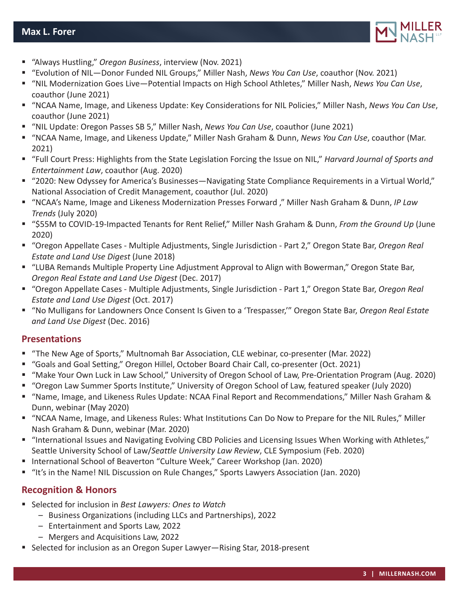

- "Always Hustling," *Oregon Business*, interview (Nov. 2021)
- "Evolution of NIL—Donor Funded NIL Groups," Miller Nash, *News You Can Use*, coauthor (Nov. 2021)
- "NIL Modernization Goes Live—Potential Impacts on High School Athletes," Miller Nash, *News You Can Use*, coauthor (June 2021)
- "NCAA Name, Image, and Likeness Update: Key Considerations for NIL Policies," Miller Nash, *News You Can Use*, coauthor (June 2021)
- "NIL Update: Oregon Passes SB 5," Miller Nash, *News You Can Use*, coauthor (June 2021)
- "NCAA Name, Image, and Likeness Update," Miller Nash Graham & Dunn, *News You Can Use*, coauthor (Mar. 2021)
- "Full Court Press: Highlights from the State Legislation Forcing the Issue on NIL," *Harvard Journal of Sports and Entertainment Law*, coauthor (Aug. 2020)
- "2020: New Odyssey for America's Businesses—Navigating State Compliance Requirements in a Virtual World," National Association of Credit Management, coauthor (Jul. 2020)
- "NCAA's Name, Image and Likeness Modernization Presses Forward ," Miller Nash Graham & Dunn, *IP Law Trends* (July 2020)
- "\$55M to COVID-19-Impacted Tenants for Rent Relief," Miller Nash Graham & Dunn, *From the Ground Up* (June 2020)
- "Oregon Appellate Cases Multiple Adjustments, Single Jurisdiction Part 2," Oregon State Bar, *Oregon Real Estate and Land Use Digest* (June 2018)
- "LUBA Remands Multiple Property Line Adjustment Approval to Align with Bowerman," Oregon State Bar, *Oregon Real Estate and Land Use Digest* (Dec. 2017)
- "Oregon Appellate Cases Multiple Adjustments, Single Jurisdiction Part 1," Oregon State Bar, *Oregon Real Estate and Land Use Digest* (Oct. 2017)
- "No Mulligans for Landowners Once Consent Is Given to a 'Trespasser,'" Oregon State Bar, *Oregon Real Estate and Land Use Digest* (Dec. 2016)

## **Presentations**

- "The New Age of Sports," Multnomah Bar Association, CLE webinar, co-presenter (Mar. 2022)
- "Goals and Goal Setting," Oregon Hillel, October Board Chair Call, co-presenter (Oct. 2021)
- "Make Your Own Luck in Law School," University of Oregon School of Law, Pre-Orientation Program (Aug. 2020)
- "Oregon Law Summer Sports Institute," University of Oregon School of Law, featured speaker (July 2020)
- "Name, Image, and Likeness Rules Update: NCAA Final Report and Recommendations," Miller Nash Graham & Dunn, webinar (May 2020)
- "NCAA Name, Image, and Likeness Rules: What Institutions Can Do Now to Prepare for the NIL Rules," Miller Nash Graham & Dunn, webinar (Mar. 2020)
- "International Issues and Navigating Evolving CBD Policies and Licensing Issues When Working with Athletes," Seattle University School of Law/*Seattle University Law Review*, CLE Symposium (Feb. 2020)
- International School of Beaverton "Culture Week," Career Workshop (Jan. 2020)
- "It's in the Name! NIL Discussion on Rule Changes," Sports Lawyers Association (Jan. 2020)

# **Recognition & Honors**

- Selected for inclusion in *Best Lawyers: Ones to Watch*
	- Business Organizations (including LLCs and Partnerships), 2022
	- Entertainment and Sports Law, 2022
	- Mergers and Acquisitions Law, 2022
- Selected for inclusion as an Oregon Super Lawyer—Rising Star, 2018-present